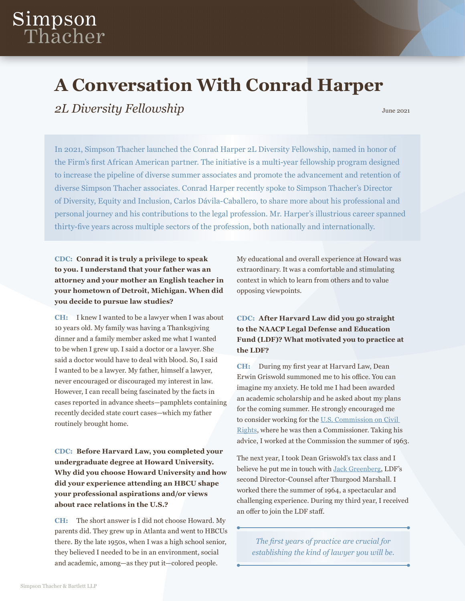# Simpson<br>Thacher

## **A Conversation With Conrad Harper**

**2L Diversity Fellowship** *Diversity Fellowship Diversity Fellowship Diversity Fellowship Diversity Fellowship* 

In 2021, Simpson Thacher launched the Conrad Harper 2L Diversity Fellowship, named in honor of the Firm's first African American partner. The initiative is a multi-year fellowship program designed to increase the pipeline of diverse summer associates and promote the advancement and retention of diverse Simpson Thacher associates. Conrad Harper recently spoke to Simpson Thacher's Director of Diversity, Equity and Inclusion, Carlos Dávila-Caballero, to share more about his professional and personal journey and his contributions to the legal profession. Mr. Harper's illustrious career spanned thirty-five years across multiple sectors of the profession, both nationally and internationally.

**CDC: Conrad it is truly a privilege to speak to you. I understand that your father was an attorney and your mother an English teacher in your hometown of Detroit, Michigan. When did you decide to pursue law studies?** 

**CH:** I knew I wanted to be a lawyer when I was about 10 years old. My family was having a Thanksgiving dinner and a family member asked me what I wanted to be when I grew up. I said a doctor or a lawyer. She said a doctor would have to deal with blood. So, I said I wanted to be a lawyer. My father, himself a lawyer, never encouraged or discouraged my interest in law. However, I can recall being fascinated by the facts in cases reported in advance sheets—pamphlets containing recently decided state court cases—which my father routinely brought home.

**CDC: Before Harvard Law, you completed your undergraduate degree at Howard University. Why did you choose Howard University and how did your experience attending an HBCU shape your professional aspirations and/or views about race relations in the U.S.?** 

**CH:** The short answer is I did not choose Howard. My parents did. They grew up in Atlanta and went to HBCUs there. By the late 1950s, when I was a high school senior, they believed I needed to be in an environment, social and academic, among—as they put it—colored people.

My educational and overall experience at Howard was extraordinary. It was a comfortable and stimulating context in which to learn from others and to value opposing viewpoints.

#### **CDC: After Harvard Law did you go straight to the NAACP Legal Defense and Education Fund (LDF)? What motivated you to practice at the LDF?**

**CH:** During my first year at Harvard Law, Dean Erwin Griswold summoned me to his office. You can imagine my anxiety. He told me I had been awarded an academic scholarship and he asked about my plans for the coming summer. He strongly encouraged me to consider working for the [U.S. Commission on Civil](https://www.usccr.gov/)  [Rights](https://www.usccr.gov/), where he was then a Commissioner. Taking his advice, I worked at the Commission the summer of 1963.

The next year, I took Dean Griswold's tax class and I believe he put me in touch with [Jack Greenberg,](https://www.naacpldf.org/about-us/history/jack-greenberg/) LDF's second Director-Counsel after Thurgood Marshall. I worked there the summer of 1964, a spectacular and challenging experience. During my third year, I received an offer to join the LDF staff.

*The first years of practice are crucial for establishing the kind of lawyer you will be.*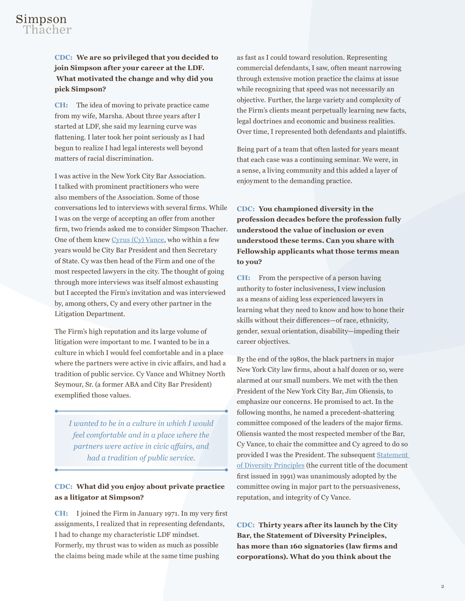### Simpson Thacher

#### **CDC: We are so privileged that you decided to join Simpson after your career at the LDF. What motivated the change and why did you pick Simpson?**

**CH:** The idea of moving to private practice came from my wife, Marsha. About three years after I started at LDF, she said my learning curve was flattening. I later took her point seriously as I had begun to realize I had legal interests well beyond matters of racial discrimination.

I was active in the New York City Bar Association. I talked with prominent practitioners who were also members of the Association. Some of those conversations led to interviews with several firms. While I was on the verge of accepting an offer from another firm, two friends asked me to consider Simpson Thacher. One of them knew [Cyrus \(Cy\) Vance](https://www.nytimes.com/2002/01/13/world/cyrus-r-vance-a-confidant-of-presidents-is-dead-at-84.html), who within a few years would be City Bar President and then Secretary of State. Cy was then head of the Firm and one of the most respected lawyers in the city. The thought of going through more interviews was itself almost exhausting but I accepted the Firm's invitation and was interviewed by, among others, Cy and every other partner in the Litigation Department.

The Firm's high reputation and its large volume of litigation were important to me. I wanted to be in a culture in which I would feel comfortable and in a place where the partners were active in civic affairs, and had a tradition of public service. Cy Vance and Whitney North Seymour, Sr. (a former ABA and City Bar President) exemplified those values.

*I wanted to be in a culture in which I would feel comfortable and in a place where the partners were active in civic affairs, and had a tradition of public service.*

#### **CDC: What did you enjoy about private practice as a litigator at Simpson?**

**CH:** I joined the Firm in January 1971. In my very first assignments, I realized that in representing defendants, I had to change my characteristic LDF mindset. Formerly, my thrust was to widen as much as possible the claims being made while at the same time pushing

as fast as I could toward resolution. Representing commercial defendants, I saw, often meant narrowing through extensive motion practice the claims at issue while recognizing that speed was not necessarily an objective. Further, the large variety and complexity of the Firm's clients meant perpetually learning new facts, legal doctrines and economic and business realities. Over time, I represented both defendants and plaintiffs.

Being part of a team that often lasted for years meant that each case was a continuing seminar. We were, in a sense, a living community and this added a layer of enjoyment to the demanding practice.

**CDC: You championed diversity in the profession decades before the profession fully understood the value of inclusion or even understood these terms. Can you share with Fellowship applicants what those terms mean to you?** 

**CH:** From the perspective of a person having authority to foster inclusiveness, I view inclusion as a means of aiding less experienced lawyers in learning what they need to know and how to hone their skills without their differences—of race, ethnicity, gender, sexual orientation, disability—impeding their career objectives.

By the end of the 1980s, the black partners in major New York City law firms, about a half dozen or so, were alarmed at our small numbers. We met with the then President of the New York City Bar, Jim Oliensis, to emphasize our concerns. He promised to act. In the following months, he named a precedent-shattering committee composed of the leaders of the major firms. Oliensis wanted the most respected member of the Bar, Cy Vance, to chair the committee and Cy agreed to do so provided I was the President. The subsequent [Statement](https://www.nycbar.org/serving-the-community/diversity-and-inclusion/statement-of-diversity-principles)  [of Diversity Principles](https://www.nycbar.org/serving-the-community/diversity-and-inclusion/statement-of-diversity-principles) (the current title of the document first issued in 1991) was unanimously adopted by the committee owing in major part to the persuasiveness, reputation, and integrity of Cy Vance.

**CDC: Thirty years after its launch by the City Bar, the Statement of Diversity Principles, has more than 160 signatories (law firms and corporations). What do you think about the**